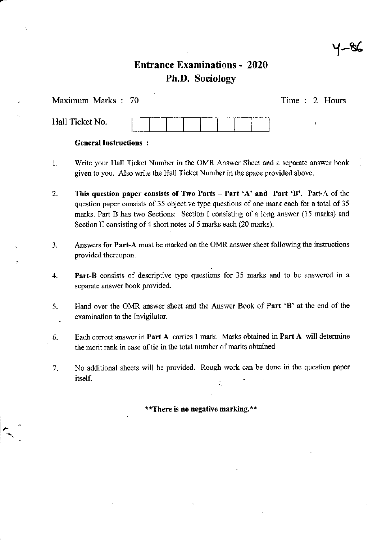# {~&

# Entrance Examinations - <sup>2020</sup> Ph.D. Sociology

Maximum Marks : <sup>70</sup>

Time : 2 Hours

Hall Ticket No.

### General Instructions:

- 1. Write your Hall Ticket Number in the OMR Answer Sheet and a separate answer book given to you. Also write the Hall Ticket Number in the space provided above.
- 2. This question paper consists of Two Parts  $-$  Part 'A' and Part 'B'. Part-A of the question paper consists of 35 objective type questions of one mark each for a total of 35 marks. Part B has two Sections: Section I consisting of a long answer (15 marks) and Section II consisting of 4 short notes of 5 marks each (20 marks).
- 3. Answers for **Part-A** must be marked on the OMR answer sheet following the instructions provided thereupon.
- 4. Part-B consists of descriptive type questions for 35 marks and to be answered in a separate answer book provided.
- 5. Hand over the OMR answer sheet and the Answer Book of Part 'B' at the end of the . examination to the Invigilator.
- 6. Each correct auswer in Part A carries I mark. Marks obtained in Part A will determine the merit rank in case of tie in the total number of marks obtained
- 7. No additional sheets will be provided. Rough work can be done in the question paper  $\blacksquare$ itself.

\*\*There is no negative marking.\*\*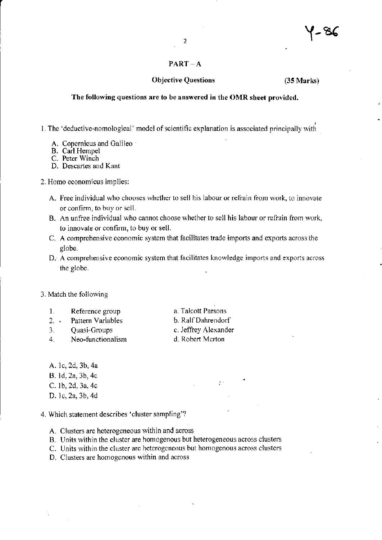#### $PART - A$

#### Objcctive Questions (35 Marks)

#### The following questions are fo be answered in the OMR sheet provided,

L The 'deductive-nomological' model of scientific explanation is associated principally with

- A. Copernicus and Galileo
- B. Carl Hempel
- C. Peter Winch
- D. Descartes and Kant
- 2. Homo economicus implies:
	- A. Free individual who chooses whether to sell his labour or refrain from work, to innovate or confirm, to buy or sell.
	- B. An unfree individual who cannot choose whether to sell his labour or refrain from work, to innovate or confirm, to buy or sell.
	- C. A comprehensive economic system that facilitates trade imports and exports across the globe.
	- D. A comprehensive economic system that facilitates knowledge imports and exports across the globe.

#### 3. Match the following

- 1. Reference group<br>2. Pattern Variables
- Pattern Variables
- 3. Quasi-Groups 4. Neo-functionalism
- 
- a. Talcott Parsons
- b. RalfDahrendorf
- c. Jeffrey Alexander
- d. Robert Merton

- A. lc, 2d, 3b, 4a B.ld,2a,3b,4c C. lb,2d, 3a, 4c
- D. lc, 2a, 3b,4d
- 4. Which statement describes 'cluster sampling'?
	- A. Clusters are heterogeneous within and across
	- B. Units within the cluster are homogenous but heterogeneous across clusters
	- C. Units within the cluster arc heterogeneous but homogenous across clusters
	- D. Clusters are homogcnous within and across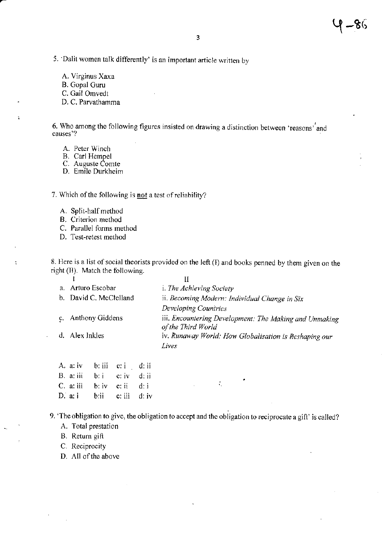5. Dalit women talk differently' is an important article written by

A. Virginus Xaxa

B. Gopal Guru

C. Gail Omvedt

D. C. Parvathamma

6. Who among the following figures insisted on drawing a distinction between 'reasons' and causes'?

A. Peter Winch

B. Carl Hempel<br>C. Auguste Comte<br>D. Emile Durkheim

7. Which of the following is not a test of reliability?

A. Split-half method

B. Criterion method

C. Parallel forms method

D. Test-retest method

8. Here is a list of social theorists provided on the left (I) and books penned by them given on the right (II). Match the following.

| a. | Arturo Escobar         | <i>i. The Achieving Society</i>                                              |
|----|------------------------|------------------------------------------------------------------------------|
|    | b. David C. McClelland | ii. Becoming Modern: Individual Change in Six                                |
|    |                        | <b>Developing Countries</b>                                                  |
|    | c. Anthony Giddens     | iii. Encountering Development: The Making and Unmaking<br>of the Third World |
|    | d. Alex Inkles         | iv. Runaway World: How Globalisation is Reshaping our<br>Lives               |
|    |                        |                                                                              |

| A. a. iv b. iii c. i d. ii                        |  |  |
|---------------------------------------------------|--|--|
| B. a: ii $\mathbf{b}$ : i $\mathbf{c}$ : iv d: ii |  |  |
| C. a: iii $\mathbf{b}$ : iv c: ii d: i            |  |  |
| D. a. i b.ii c. iii d. iv                         |  |  |

9. The obligation to give, the obligation to accept and the obligation to reciprocate a gift' is called?

 $\mathcal{L}_{\mathcal{L}}$ 

A. Total prestation

B. Return gift

C. Reciprocity

D. All of the above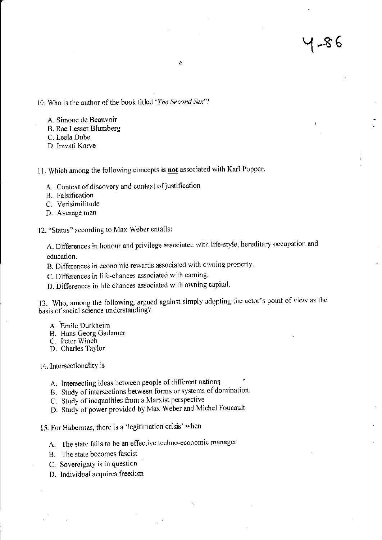10. Who is the author of the book titled 'The Second Sex'?

- A. Simone de Beauvoir
- B. Rae Lesser Blumberg
- C. Leela Dube
- D. Iravati Karve

11. Which among the following concepts is **not** associated with Karl Popper.

- A. Context of discovery and context of justification
- B. Falsification
- C. Verisimilitude
- D. Average man

12. "Status" according to Max Weber entails:

A. Differences in honour and privilege associated with life-style, hereditary occupation and education.

- B. Differences in economic rewards associated with owning property.
- C. Differences in life-chances associated with earning
- D. Differences in lifc chances associated with owning capital'

13. Who, among the following, argued against simply adopting the actor's point of view as the basis of social science understanding?

- A. Emile Durkheim
- B. Hans Georg Gadamer
- C. Petcr Winch
- D. Charles Taylor

<sup>1</sup>4. lntersectionality is

- A. Intersecting ideas between people of different nations
- B. Study of intersections between forms or systems of domination.
- C. Study of inequalities from a Marxist perspective
- D. Study of power provided by Max Weber and Michel Foucault

15. For Habermas. there is a'legitimation crisis'when

- A. The state fails to be an effective techno-economic manager
- B. fhc slate becomes fascist
- C. Sovereignty is in question
- D. Individual acquires freedom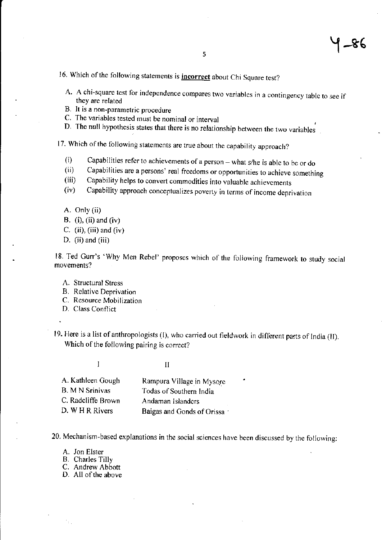-&6

# 16. Which of the following statements is **incorrect** about Chi Square test?

- A. A chi-square test for independence compares two variables in a contingency table to see if they are related
- B. lt is a non-parametric procedure
- C. The variables tested must be nominal or interval
- D. The null hypothcsis states that there is no relationship between thc two variables

17. Which of the following statements are true about the capability approach?

- 
- (i) Capabilities refer to achievements of a person what s/he is able to be or do<br>
(ii) Capabilities are a persons' real freedoms or opportunities to achieve something<br>
(iii) Capability helps to convert commodities into
- 
- 
- A. Only (ii)
- B. (i), (ii) and (iv)
- C.  $(ii)$ ,  $(iii)$  and  $(iv)$
- D. (ii) and (iii)

18. Ted Gurr's 'Why Men Rebel' proposes which of the following framework to study social movements?

- A. Structural Stress
- B. Relative Deprivation
- C. Resource Mob;lization
- D. Class Conflict
- 19. Here is a list of anthropologists (I), who carried out fieldwork in different parts of India (II). Which of the following pairing is correct?

I description of the set of the set of the set of the set of the set of the set of the set of the set of the s<br>I description of the set of the set of the set of the set of the set of the set of the set of the set of the s

| A. Kathleen Gough      | Rampura Village in Mysore  |
|------------------------|----------------------------|
| <b>B.</b> M N Srinivas | Todas of Southern India    |
| C. Radcliffe Brown     | Andaman Islanders          |
| D. W H R Rivers        | Baigas and Gonds of Orissa |

20. Mechanism-based explanations in the social sciences have been discussed by the following:

- A. Jon Elster
- B. Charles Tilly
- C. Andrew Abbott
- D. All of the above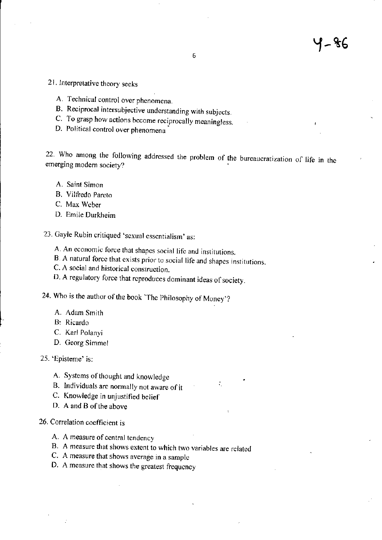- 2l. lnterpretative theory seeks
	- A. Technical control over phenomena.
	- B. Reciprocal intersubjective understanding with subjects
	- C. To grasp how actions become reciprocally meaningless.
	- D. Political control over phenomena

22. Who among the following addressed the problem of the bureaucratization of life in the emerging modern society?

÷.

- A. Saint Simon
- B. Vilfredo Pareto
- C. Max Wcber
- D. Emile Durkheim

23. Gayle Rubin critiqued 'sexual essentialism' as:

- A. An economic force that shapcs social lifc and institutions.
- B. A natural force that exists prior to social life and shapes institutions.
- C. A social and historical consrruction.
- D. A regulatory force that reproduces dominant ideas of society.

24. Who is the author of the book 'The Philosophy of Money'?

- A. Adam Smith
- B: Ricardo
- C. Karl Polanyi
- D. Georg Simmel
- 25. 'Episteme' is:
	- A. Systems of thought and knowledge
	- B. Individuals are normally not aware of it
	- C. Knowledge in unjusrified bclief
	- D. A and B of the above

### 26. Correlation coefficient is

- A. A measure of central tendency
- B. A measure that shows extcnt to which two variables are rclated
- C. A measure that shows average in a samplc
- D. A measure that shows the greatest frequency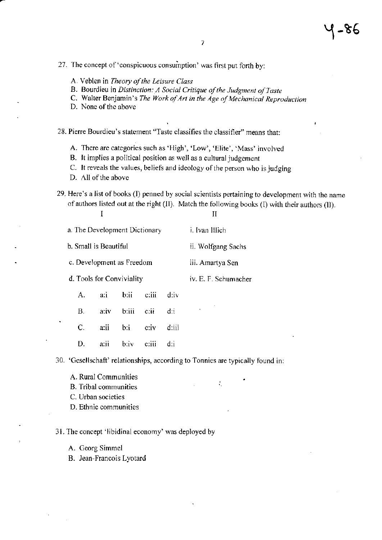27. The concept of 'conspicuous consumption' was first put forth by:

- A. Veblen in Theory of the Leisure Class
- B. Bourdieu in Distinction: A Social Critique of the Judgment of Taste
- C. Walter Benjamin's The Work of Art in the Age of Mechanical Reproduction
- D. None of the above
- 28. Pierre Bourdieu's statement "Taste classifies the classifier" means that:
	- A. There are categories such as 'High', 'Low', 'Elite', 'Mass' involved
	- B. It implies a political position as well as a cultural judgement
	- C. It reveals the values, beliefs and ideology of the person who is judging
	- D. All of the above

 $\mathbf I$ 

29. Here's a list of books (I) penned by social scientists pertaining to development with the name of authors listed out at the right (II). Match the following books (I) with their authors (II).

 $\mathbf{I}$ 

÷.

| a. The Development Dictionary |      |                  |                    |                      | i. Ivan Illich     |
|-------------------------------|------|------------------|--------------------|----------------------|--------------------|
| b. Small is Beautiful         |      |                  |                    |                      | ii. Wolfgang Sachs |
| c. Development as Freedom     |      |                  |                    |                      | iii. Amartya Sen   |
| d. Tools for Conviviality     |      |                  |                    | iv. E. F. Schumacher |                    |
| А.                            | a:i  | b:ii c:iii       |                    | div                  |                    |
| В.                            | a:iv | $b$ :iii $c$ :ii |                    | di                   |                    |
| $C_{\cdot}$                   |      | a:ii b:i         | $\overline{c}$ :iv | d:iii                |                    |
| D.                            | a:ii | $b$ :iv $c$ :iii |                    | d:i                  |                    |

30. 'Gesellschaft' relationships, according to Tonnies are typically found in:

- A. Rural Communities
- **B.** Tribal communities
- C. Urban societies
- D. Ethnic communities

## 31. The concept 'libidinal economy' was deployed by

- A. Georg Simmel
- B. Jean-Francois Lyotard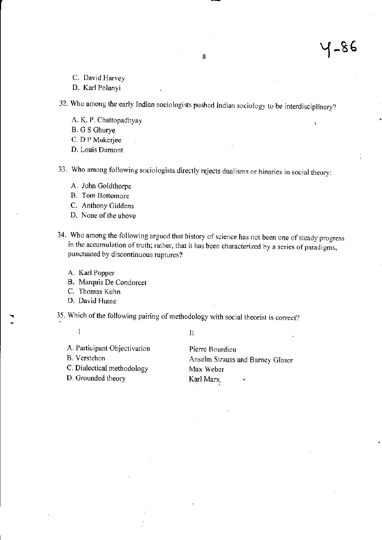C. David Harvey

D. Karl Polanyi

32. Who among the early Indian sociologists pushed Indian sociology to be interdisciplinary?

A. K. P. Chattopadhyay

**B.** G S Ghurye

C. D P Mukerjee

D. Louis Dumont

33. Who among following sociologists directly rejects dualisms or binaries in social theory:

- A. John Goldthorpe
- B. Tom Bottomore
- C. Anthony Giddens
- D. None of the above
- 34. Who among the following argued that history of science has not been one of steady progress in the accumulation of truth; rather, that it has been characterized by a series of paradigms, punctuated by discontinuous ruptures?
	- A. Karl Popper
	- B. Marquis De Condorcet
	- C. Thomas Kuhn
	- D. David Hume
- 35. Which of the following pairing of methodology with social theorist is correct?
	- $\overline{I}$

 $\mathbf{I}$ 

A. Participant Objectivation

**B.** Verstehen

C. Dialectical methodology

D. Grounded theory

Pierre Bourdieu Anselm Strauss and Barney Glaser Max Weber Karl Marx